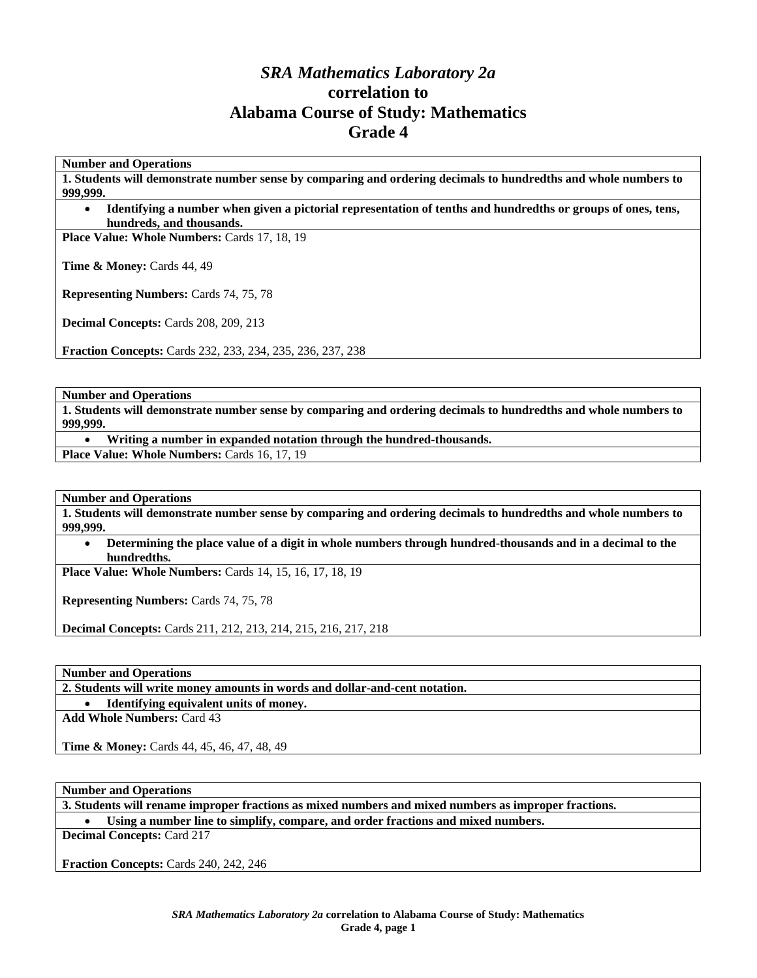# *SRA Mathematics Laboratory 2a*  **correlation to Alabama Course of Study: Mathematics Grade 4**

**Number and Operations** 

**1. Students will demonstrate number sense by comparing and ordering decimals to hundredths and whole numbers to 999,999.** 

• **Identifying a number when given a pictorial representation of tenths and hundredths or groups of ones, tens, hundreds, and thousands.** 

Place Value: Whole Numbers: Cards 17, 18, 19

**Time & Money: Cards 44, 49** 

**Representing Numbers:** Cards 74, 75, 78

**Decimal Concepts:** Cards 208, 209, 213

**Fraction Concepts:** Cards 232, 233, 234, 235, 236, 237, 238

**Number and Operations** 

**1. Students will demonstrate number sense by comparing and ordering decimals to hundredths and whole numbers to 999,999.** 

• **Writing a number in expanded notation through the hundred-thousands.** 

Place Value: Whole Numbers: Cards 16, 17, 19

**Number and Operations** 

**1. Students will demonstrate number sense by comparing and ordering decimals to hundredths and whole numbers to 999,999.** 

• **Determining the place value of a digit in whole numbers through hundred-thousands and in a decimal to the hundredths.** 

**Place Value: Whole Numbers:** Cards 14, 15, 16, 17, 18, 19

**Representing Numbers:** Cards 74, 75, 78

**Decimal Concepts:** Cards 211, 212, 213, 214, 215, 216, 217, 218

**Number and Operations** 

**2. Students will write money amounts in words and dollar-and-cent notation.** 

• **Identifying equivalent units of money.** 

**Add Whole Numbers:** Card 43

**Time & Money:** Cards 44, 45, 46, 47, 48, 49

**Number and Operations** 

**3. Students will rename improper fractions as mixed numbers and mixed numbers as improper fractions.** 

• **Using a number line to simplify, compare, and order fractions and mixed numbers.** 

**Decimal Concepts:** Card 217

**Fraction Concepts:** Cards 240, 242, 246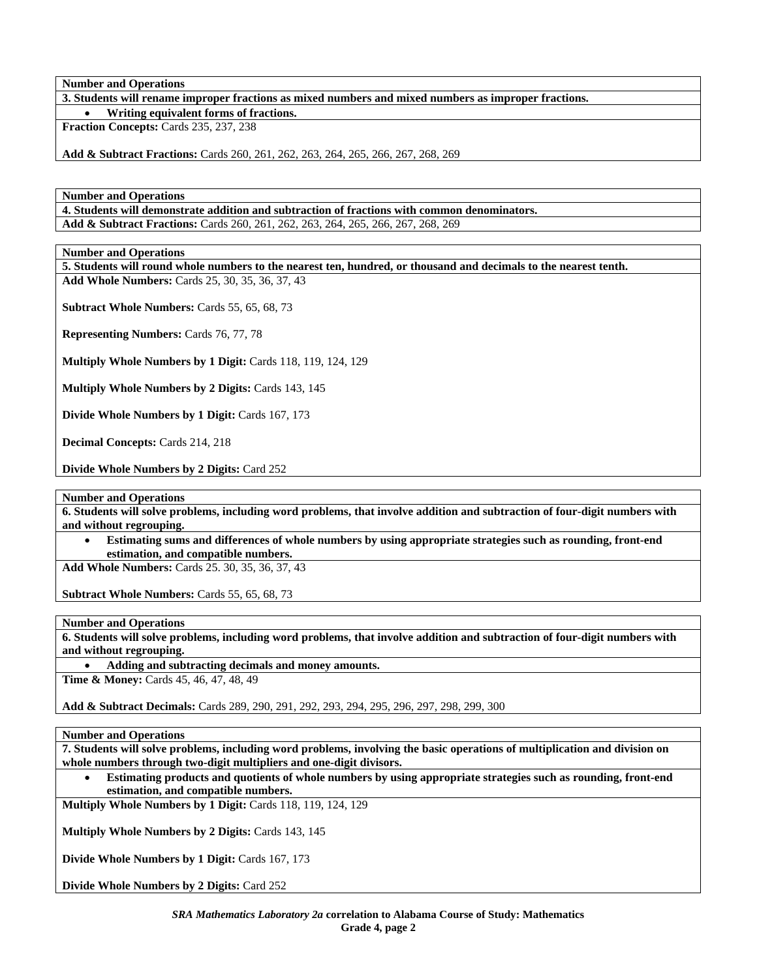**3. Students will rename improper fractions as mixed numbers and mixed numbers as improper fractions.** 

• **Writing equivalent forms of fractions.** 

**Fraction Concepts:** Cards 235, 237, 238

**Add & Subtract Fractions:** Cards 260, 261, 262, 263, 264, 265, 266, 267, 268, 269

**Number and Operations** 

**4. Students will demonstrate addition and subtraction of fractions with common denominators. Add & Subtract Fractions:** Cards 260, 261, 262, 263, 264, 265, 266, 267, 268, 269

**Number and Operations** 

**5. Students will round whole numbers to the nearest ten, hundred, or thousand and decimals to the nearest tenth. Add Whole Numbers:** Cards 25, 30, 35, 36, 37, 43

**Subtract Whole Numbers:** Cards 55, 65, 68, 73

**Representing Numbers:** Cards 76, 77, 78

**Multiply Whole Numbers by 1 Digit:** Cards 118, 119, 124, 129

**Multiply Whole Numbers by 2 Digits:** Cards 143, 145

**Divide Whole Numbers by 1 Digit:** Cards 167, 173

**Decimal Concepts:** Cards 214, 218

**Divide Whole Numbers by 2 Digits:** Card 252

**Number and Operations** 

**6. Students will solve problems, including word problems, that involve addition and subtraction of four-digit numbers with and without regrouping.** 

• **Estimating sums and differences of whole numbers by using appropriate strategies such as rounding, front-end estimation, and compatible numbers.** 

**Add Whole Numbers:** Cards 25. 30, 35, 36, 37, 43

**Subtract Whole Numbers:** Cards 55, 65, 68, 73

**Number and Operations** 

**6. Students will solve problems, including word problems, that involve addition and subtraction of four-digit numbers with and without regrouping.** 

• **Adding and subtracting decimals and money amounts. Time & Money:** Cards 45, 46, 47, 48, 49

**Add & Subtract Decimals:** Cards 289, 290, 291, 292, 293, 294, 295, 296, 297, 298, 299, 300

## **Number and Operations**

**7. Students will solve problems, including word problems, involving the basic operations of multiplication and division on whole numbers through two-digit multipliers and one-digit divisors.** 

• **Estimating products and quotients of whole numbers by using appropriate strategies such as rounding, front-end estimation, and compatible numbers.** 

**Multiply Whole Numbers by 1 Digit:** Cards 118, 119, 124, 129

**Multiply Whole Numbers by 2 Digits:** Cards 143, 145

**Divide Whole Numbers by 1 Digit:** Cards 167, 173

**Divide Whole Numbers by 2 Digits:** Card 252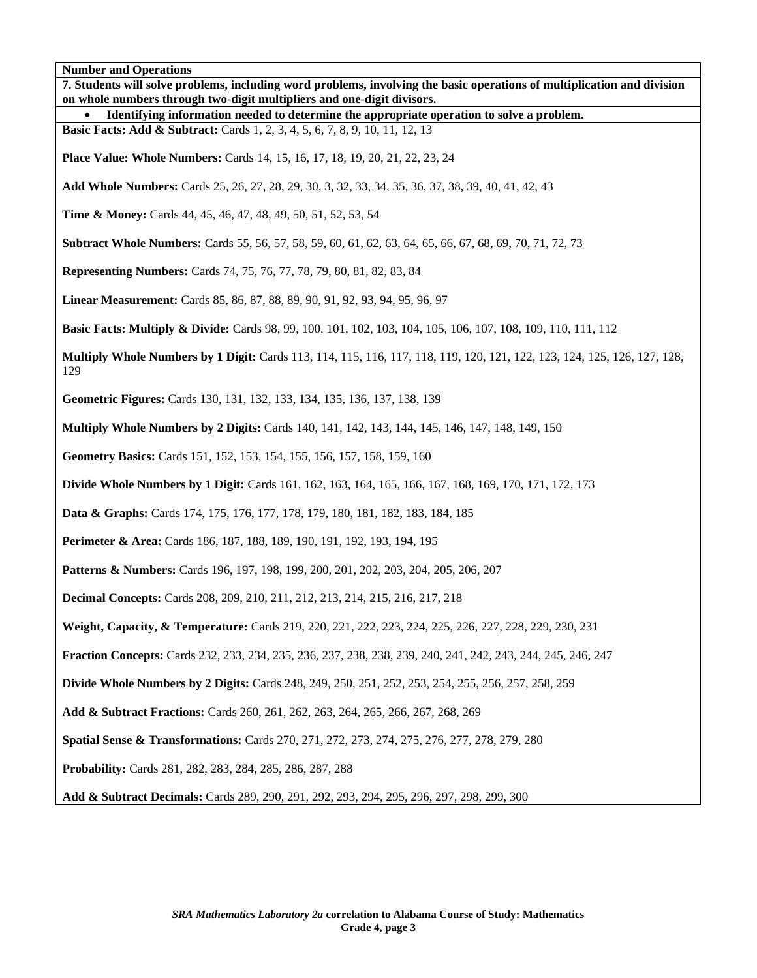| Number and Operations<br>7. Students will solve problems, including word problems, involving the basic operations of multiplication and division<br>on whole numbers through two-digit multipliers and one-digit divisors. |
|----------------------------------------------------------------------------------------------------------------------------------------------------------------------------------------------------------------------------|
| Identifying information needed to determine the appropriate operation to solve a problem.                                                                                                                                  |
| <b>Basic Facts: Add &amp; Subtract:</b> Cards 1, 2, 3, 4, 5, 6, 7, 8, 9, 10, 11, 12, 13                                                                                                                                    |
| Place Value: Whole Numbers: Cards 14, 15, 16, 17, 18, 19, 20, 21, 22, 23, 24                                                                                                                                               |
| Add Whole Numbers: Cards 25, 26, 27, 28, 29, 30, 3, 32, 33, 34, 35, 36, 37, 38, 39, 40, 41, 42, 43                                                                                                                         |
| <b>Time &amp; Money:</b> Cards 44, 45, 46, 47, 48, 49, 50, 51, 52, 53, 54                                                                                                                                                  |
| <b>Subtract Whole Numbers:</b> Cards 55, 56, 57, 58, 59, 60, 61, 62, 63, 64, 65, 66, 67, 68, 69, 70, 71, 72, 73                                                                                                            |
| <b>Representing Numbers:</b> Cards 74, 75, 76, 77, 78, 79, 80, 81, 82, 83, 84                                                                                                                                              |
| Linear Measurement: Cards 85, 86, 87, 88, 89, 90, 91, 92, 93, 94, 95, 96, 97                                                                                                                                               |
| <b>Basic Facts: Multiply &amp; Divide:</b> Cards 98, 99, 100, 101, 102, 103, 104, 105, 106, 107, 108, 109, 110, 111, 112                                                                                                   |
| Multiply Whole Numbers by 1 Digit: Cards 113, 114, 115, 116, 117, 118, 119, 120, 121, 122, 123, 124, 125, 126, 127, 128,<br>129                                                                                            |
| Geometric Figures: Cards 130, 131, 132, 133, 134, 135, 136, 137, 138, 139                                                                                                                                                  |
| <b>Multiply Whole Numbers by 2 Digits:</b> Cards 140, 141, 142, 143, 144, 145, 146, 147, 148, 149, 150                                                                                                                     |
| Geometry Basics: Cards 151, 152, 153, 154, 155, 156, 157, 158, 159, 160                                                                                                                                                    |
| <b>Divide Whole Numbers by 1 Digit:</b> Cards 161, 162, 163, 164, 165, 166, 167, 168, 169, 170, 171, 172, 173                                                                                                              |
| <b>Data &amp; Graphs:</b> Cards 174, 175, 176, 177, 178, 179, 180, 181, 182, 183, 184, 185                                                                                                                                 |
| Perimeter & Area: Cards 186, 187, 188, 189, 190, 191, 192, 193, 194, 195                                                                                                                                                   |
| Patterns & Numbers: Cards 196, 197, 198, 199, 200, 201, 202, 203, 204, 205, 206, 207                                                                                                                                       |
| Decimal Concepts: Cards 208, 209, 210, 211, 212, 213, 214, 215, 216, 217, 218                                                                                                                                              |
| Weight, Capacity, & Temperature: Cards 219, 220, 221, 222, 223, 224, 225, 226, 227, 228, 229, 230, 231                                                                                                                     |
| Fraction Concepts: Cards 232, 233, 234, 235, 236, 237, 238, 238, 239, 240, 241, 242, 243, 244, 245, 246, 247                                                                                                               |
| <b>Divide Whole Numbers by 2 Digits:</b> Cards 248, 249, 250, 251, 252, 253, 254, 255, 256, 257, 258, 259                                                                                                                  |
| Add & Subtract Fractions: Cards 260, 261, 262, 263, 264, 265, 266, 267, 268, 269                                                                                                                                           |
| Spatial Sense & Transformations: Cards 270, 271, 272, 273, 274, 275, 276, 277, 278, 279, 280                                                                                                                               |
| Probability: Cards 281, 282, 283, 284, 285, 286, 287, 288                                                                                                                                                                  |
| Add & Subtract Decimals: Cards 289, 290, 291, 292, 293, 294, 295, 296, 297, 298, 299, 300                                                                                                                                  |
|                                                                                                                                                                                                                            |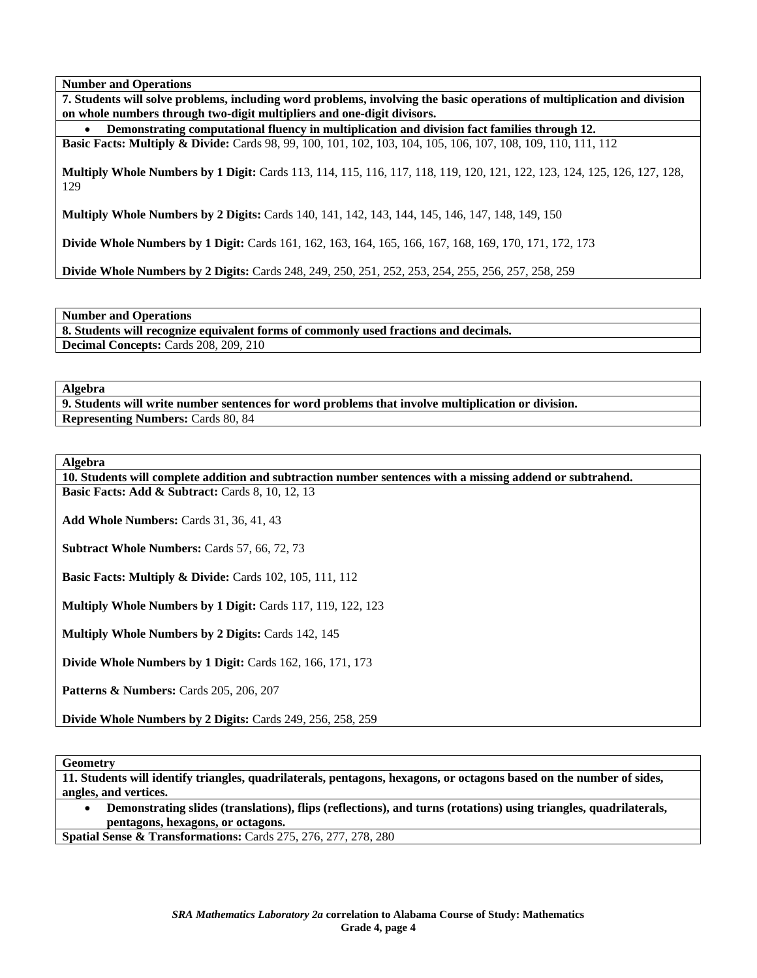**7. Students will solve problems, including word problems, involving the basic operations of multiplication and division on whole numbers through two-digit multipliers and one-digit divisors.** 

• **Demonstrating computational fluency in multiplication and division fact families through 12.** 

**Basic Facts: Multiply & Divide:** Cards 98, 99, 100, 101, 102, 103, 104, 105, 106, 107, 108, 109, 110, 111, 112

**Multiply Whole Numbers by 1 Digit:** Cards 113, 114, 115, 116, 117, 118, 119, 120, 121, 122, 123, 124, 125, 126, 127, 128, 129

**Multiply Whole Numbers by 2 Digits:** Cards 140, 141, 142, 143, 144, 145, 146, 147, 148, 149, 150

**Divide Whole Numbers by 1 Digit:** Cards 161, 162, 163, 164, 165, 166, 167, 168, 169, 170, 171, 172, 173

**Divide Whole Numbers by 2 Digits:** Cards 248, 249, 250, 251, 252, 253, 254, 255, 256, 257, 258, 259

**Number and Operations** 

**8. Students will recognize equivalent forms of commonly used fractions and decimals. Decimal Concepts:** Cards 208, 209, 210

#### **Algebra**

**9. Students will write number sentences for word problems that involve multiplication or division. Representing Numbers:** Cards 80, 84

**Algebra** 

**10. Students will complete addition and subtraction number sentences with a missing addend or subtrahend. Basic Facts: Add & Subtract: Cards 8, 10, 12, 13** 

**Add Whole Numbers:** Cards 31, 36, 41, 43

**Subtract Whole Numbers:** Cards 57, 66, 72, 73

**Basic Facts: Multiply & Divide: Cards 102, 105, 111, 112** 

**Multiply Whole Numbers by 1 Digit:** Cards 117, 119, 122, 123

**Multiply Whole Numbers by 2 Digits:** Cards 142, 145

**Divide Whole Numbers by 1 Digit:** Cards 162, 166, 171, 173

**Patterns & Numbers: Cards 205, 206, 207** 

**Divide Whole Numbers by 2 Digits:** Cards 249, 256, 258, 259

**Geometry** 

**11. Students will identify triangles, quadrilaterals, pentagons, hexagons, or octagons based on the number of sides, angles, and vertices.** 

• **Demonstrating slides (translations), flips (reflections), and turns (rotations) using triangles, quadrilaterals, pentagons, hexagons, or octagons.** 

**Spatial Sense & Transformations:** Cards 275, 276, 277, 278, 280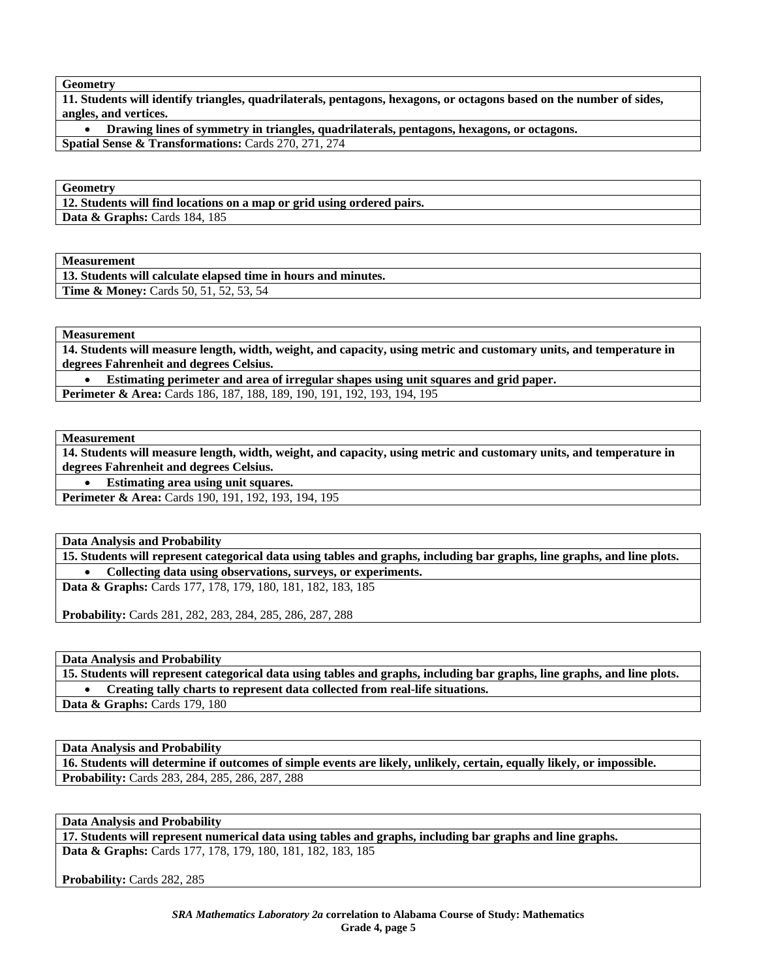**Geometry** 

**11. Students will identify triangles, quadrilaterals, pentagons, hexagons, or octagons based on the number of sides, angles, and vertices.** 

• **Drawing lines of symmetry in triangles, quadrilaterals, pentagons, hexagons, or octagons. Spatial Sense & Transformations:** Cards 270, 271, 274

**Geometry** 

**12. Students will find locations on a map or grid using ordered pairs. Data & Graphs:** Cards 184, 185

**Measurement** 

**13. Students will calculate elapsed time in hours and minutes. Time & Money:** Cards 50, 51, 52, 53, 54

**Measurement** 

**14. Students will measure length, width, weight, and capacity, using metric and customary units, and temperature in degrees Fahrenheit and degrees Celsius.** 

• **Estimating perimeter and area of irregular shapes using unit squares and grid paper. Perimeter & Area:** Cards 186, 187, 188, 189, 190, 191, 192, 193, 194, 195

**Measurement** 

**14. Students will measure length, width, weight, and capacity, using metric and customary units, and temperature in degrees Fahrenheit and degrees Celsius.** 

• **Estimating area using unit squares.** 

**Perimeter & Area:** Cards 190, 191, 192, 193, 194, 195

**Data Analysis and Probability** 

**15. Students will represent categorical data using tables and graphs, including bar graphs, line graphs, and line plots.**  • **Collecting data using observations, surveys, or experiments.** 

**Data & Graphs:** Cards 177, 178, 179, 180, 181, 182, 183, 185

**Probability:** Cards 281, 282, 283, 284, 285, 286, 287, 288

**Data Analysis and Probability** 

**15. Students will represent categorical data using tables and graphs, including bar graphs, line graphs, and line plots.**  • **Creating tally charts to represent data collected from real-life situations. Data & Graphs:** Cards 179, 180

**Data Analysis and Probability** 

**16. Students will determine if outcomes of simple events are likely, unlikely, certain, equally likely, or impossible. Probability:** Cards 283, 284, 285, 286, 287, 288

**Data Analysis and Probability** 

**17. Students will represent numerical data using tables and graphs, including bar graphs and line graphs. Data & Graphs:** Cards 177, 178, 179, 180, 181, 182, 183, 185

Probability: Cards 282, 285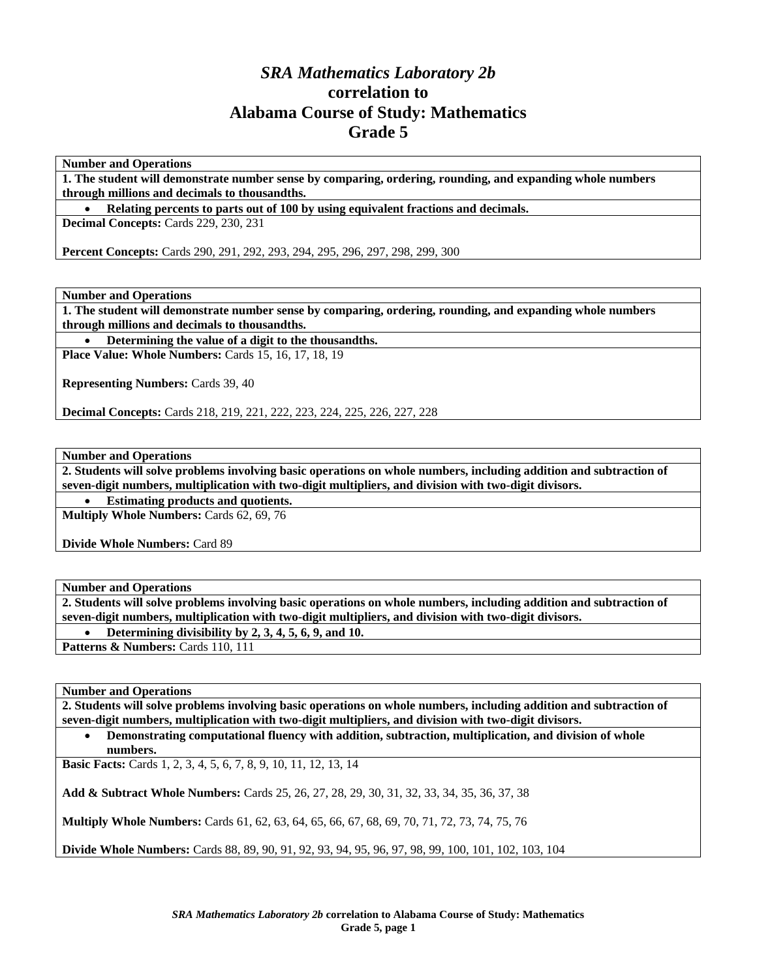# *SRA Mathematics Laboratory 2b*  **correlation to Alabama Course of Study: Mathematics Grade 5**

**Number and Operations** 

**1. The student will demonstrate number sense by comparing, ordering, rounding, and expanding whole numbers through millions and decimals to thousandths.** 

• **Relating percents to parts out of 100 by using equivalent fractions and decimals.** 

**Decimal Concepts:** Cards 229, 230, 231

**Percent Concepts:** Cards 290, 291, 292, 293, 294, 295, 296, 297, 298, 299, 300

**Number and Operations** 

**1. The student will demonstrate number sense by comparing, ordering, rounding, and expanding whole numbers through millions and decimals to thousandths.** 

• **Determining the value of a digit to the thousandths.** 

**Place Value: Whole Numbers:** Cards 15, 16, 17, 18, 19

**Representing Numbers:** Cards 39, 40

**Decimal Concepts:** Cards 218, 219, 221, 222, 223, 224, 225, 226, 227, 228

**Number and Operations** 

**2. Students will solve problems involving basic operations on whole numbers, including addition and subtraction of seven-digit numbers, multiplication with two-digit multipliers, and division with two-digit divisors.** 

• **Estimating products and quotients.** 

**Multiply Whole Numbers:** Cards 62, 69, 76

**Divide Whole Numbers:** Card 89

**Number and Operations** 

**2. Students will solve problems involving basic operations on whole numbers, including addition and subtraction of seven-digit numbers, multiplication with two-digit multipliers, and division with two-digit divisors.** 

• **Determining divisibility by 2, 3, 4, 5, 6, 9, and 10.** 

Patterns & Numbers: Cards 110, 111

**Number and Operations** 

**2. Students will solve problems involving basic operations on whole numbers, including addition and subtraction of seven-digit numbers, multiplication with two-digit multipliers, and division with two-digit divisors.** 

• **Demonstrating computational fluency with addition, subtraction, multiplication, and division of whole numbers.** 

**Basic Facts:** Cards 1, 2, 3, 4, 5, 6, 7, 8, 9, 10, 11, 12, 13, 14

**Add & Subtract Whole Numbers:** Cards 25, 26, 27, 28, 29, 30, 31, 32, 33, 34, 35, 36, 37, 38

**Multiply Whole Numbers:** Cards 61, 62, 63, 64, 65, 66, 67, 68, 69, 70, 71, 72, 73, 74, 75, 76

**Divide Whole Numbers:** Cards 88, 89, 90, 91, 92, 93, 94, 95, 96, 97, 98, 99, 100, 101, 102, 103, 104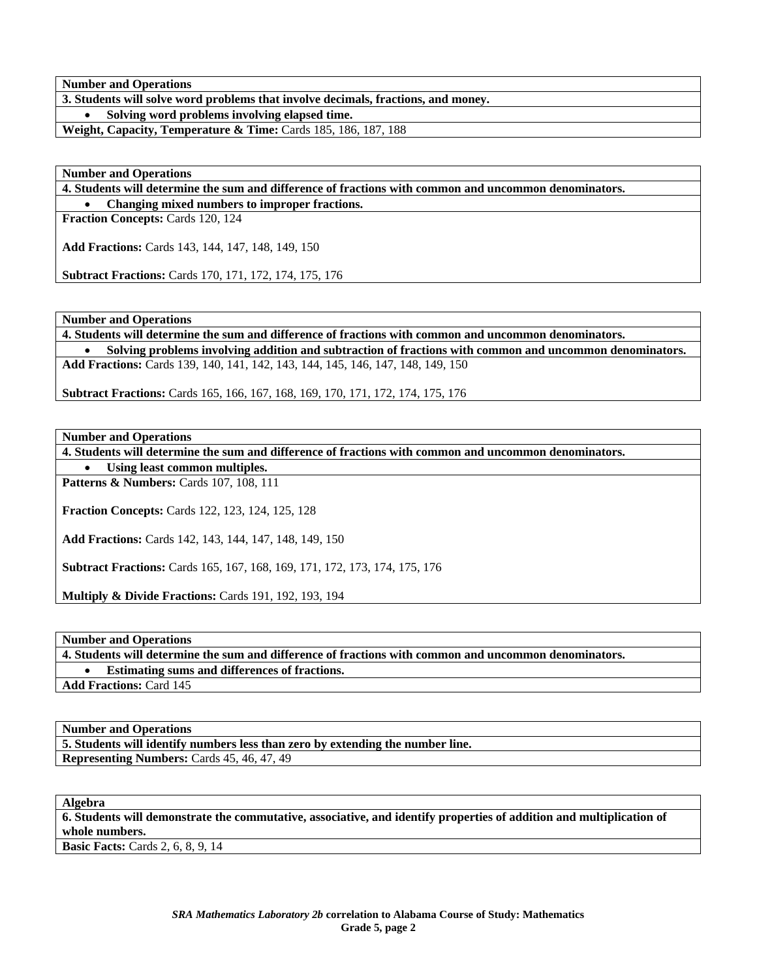**3. Students will solve word problems that involve decimals, fractions, and money.** 

• **Solving word problems involving elapsed time.** 

**Weight, Capacity, Temperature & Time:** Cards 185, 186, 187, 188

**Number and Operations** 

**4. Students will determine the sum and difference of fractions with common and uncommon denominators.** 

• **Changing mixed numbers to improper fractions.** 

**Fraction Concepts:** Cards 120, 124

**Add Fractions:** Cards 143, 144, 147, 148, 149, 150

**Subtract Fractions:** Cards 170, 171, 172, 174, 175, 176

**Number and Operations** 

**4. Students will determine the sum and difference of fractions with common and uncommon denominators.**  • **Solving problems involving addition and subtraction of fractions with common and uncommon denominators.** 

**Add Fractions:** Cards 139, 140, 141, 142, 143, 144, 145, 146, 147, 148, 149, 150

**Subtract Fractions:** Cards 165, 166, 167, 168, 169, 170, 171, 172, 174, 175, 176

**Number and Operations** 

**4. Students will determine the sum and difference of fractions with common and uncommon denominators.** 

• **Using least common multiples. Patterns & Numbers: Cards 107, 108, 111** 

**Fraction Concepts:** Cards 122, 123, 124, 125, 128

**Add Fractions:** Cards 142, 143, 144, 147, 148, 149, 150

**Subtract Fractions:** Cards 165, 167, 168, 169, 171, 172, 173, 174, 175, 176

**Multiply & Divide Fractions:** Cards 191, 192, 193, 194

**Number and Operations** 

**4. Students will determine the sum and difference of fractions with common and uncommon denominators.**  • **Estimating sums and differences of fractions.** 

**Add Fractions:** Card 145

**Number and Operations** 

**5. Students will identify numbers less than zero by extending the number line. Representing Numbers:** Cards 45, 46, 47, 49

**Algebra** 

**6. Students will demonstrate the commutative, associative, and identify properties of addition and multiplication of whole numbers.** 

**Basic Facts:** Cards 2, 6, 8, 9, 14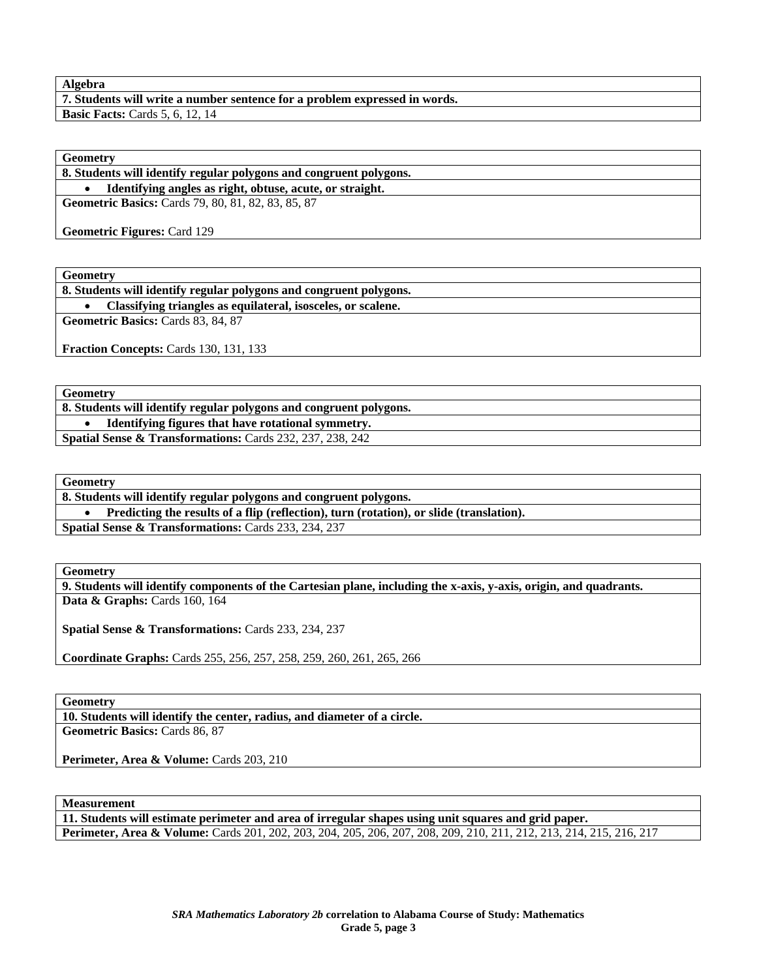### **Algebra**

**7. Students will write a number sentence for a problem expressed in words. Basic Facts: Cards 5, 6, 12, 14** 

**Geometry** 

**8. Students will identify regular polygons and congruent polygons.** 

• **Identifying angles as right, obtuse, acute, or straight.** 

**Geometric Basics:** Cards 79, 80, 81, 82, 83, 85, 87

**Geometric Figures:** Card 129

**Geometry** 

**8. Students will identify regular polygons and congruent polygons.**  • **Classifying triangles as equilateral, isosceles, or scalene.** 

**Geometric Basics:** Cards 83, 84, 87

**Fraction Concepts:** Cards 130, 131, 133

**Geometry** 

**8. Students will identify regular polygons and congruent polygons.**  • **Identifying figures that have rotational symmetry. Spatial Sense & Transformations:** Cards 232, 237, 238, 242

**Geometry** 

**8. Students will identify regular polygons and congruent polygons.** 

• **Predicting the results of a flip (reflection), turn (rotation), or slide (translation).** 

**Spatial Sense & Transformations:** Cards 233, 234, 237

**Geometry** 

**9. Students will identify components of the Cartesian plane, including the x-axis, y-axis, origin, and quadrants. Data & Graphs:** Cards 160, 164

**Spatial Sense & Transformations:** Cards 233, 234, 237

**Coordinate Graphs:** Cards 255, 256, 257, 258, 259, 260, 261, 265, 266

**Geometry** 

**10. Students will identify the center, radius, and diameter of a circle. Geometric Basics:** Cards 86, 87

Perimeter, Area & Volume: Cards 203, 210

**Measurement** 

**11. Students will estimate perimeter and area of irregular shapes using unit squares and grid paper. Perimeter, Area & Volume:** Cards 201, 202, 203, 204, 205, 206, 207, 208, 209, 210, 211, 212, 213, 214, 215, 216, 217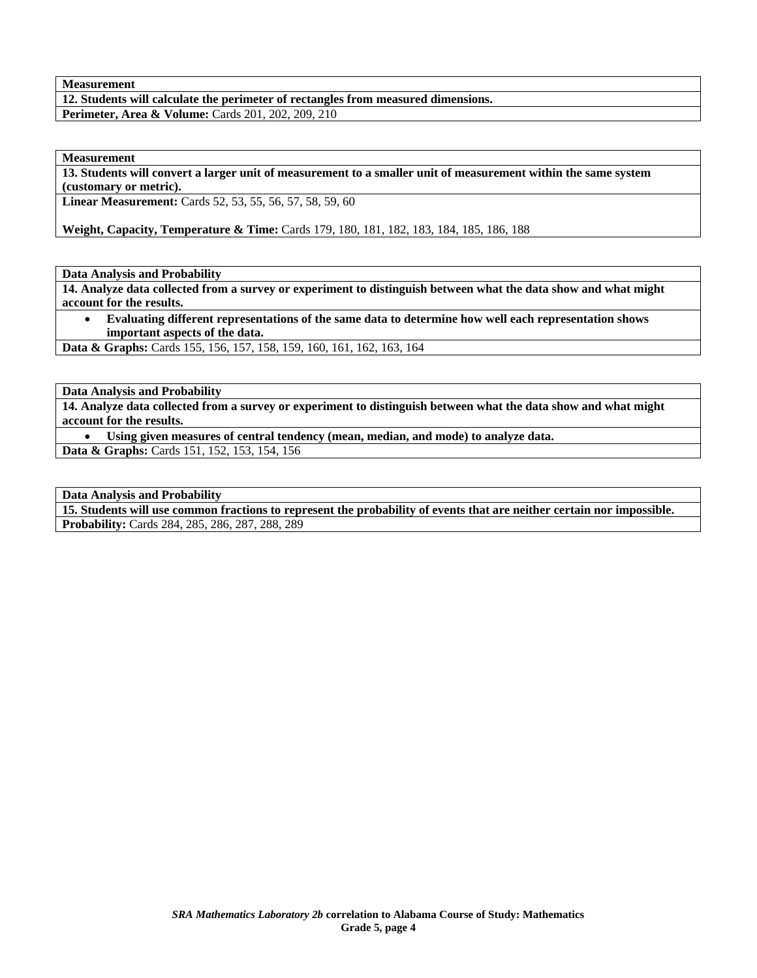## **Measurement**

## **12. Students will calculate the perimeter of rectangles from measured dimensions. Perimeter, Area & Volume:** Cards 201, 202, 209, 210

**Measurement** 

**13. Students will convert a larger unit of measurement to a smaller unit of measurement within the same system (customary or metric).** 

**Linear Measurement:** Cards 52, 53, 55, 56, 57, 58, 59, 60

**Weight, Capacity, Temperature & Time:** Cards 179, 180, 181, 182, 183, 184, 185, 186, 188

**Data Analysis and Probability** 

**14. Analyze data collected from a survey or experiment to distinguish between what the data show and what might account for the results.** 

• **Evaluating different representations of the same data to determine how well each representation shows important aspects of the data.** 

**Data & Graphs:** Cards 155, 156, 157, 158, 159, 160, 161, 162, 163, 164

**Data Analysis and Probability** 

**14. Analyze data collected from a survey or experiment to distinguish between what the data show and what might account for the results.** 

• **Using given measures of central tendency (mean, median, and mode) to analyze data.** 

**Data & Graphs:** Cards 151, 152, 153, 154, 156

**Data Analysis and Probability** 

**15. Students will use common fractions to represent the probability of events that are neither certain nor impossible. Probability:** Cards 284, 285, 286, 287, 288, 289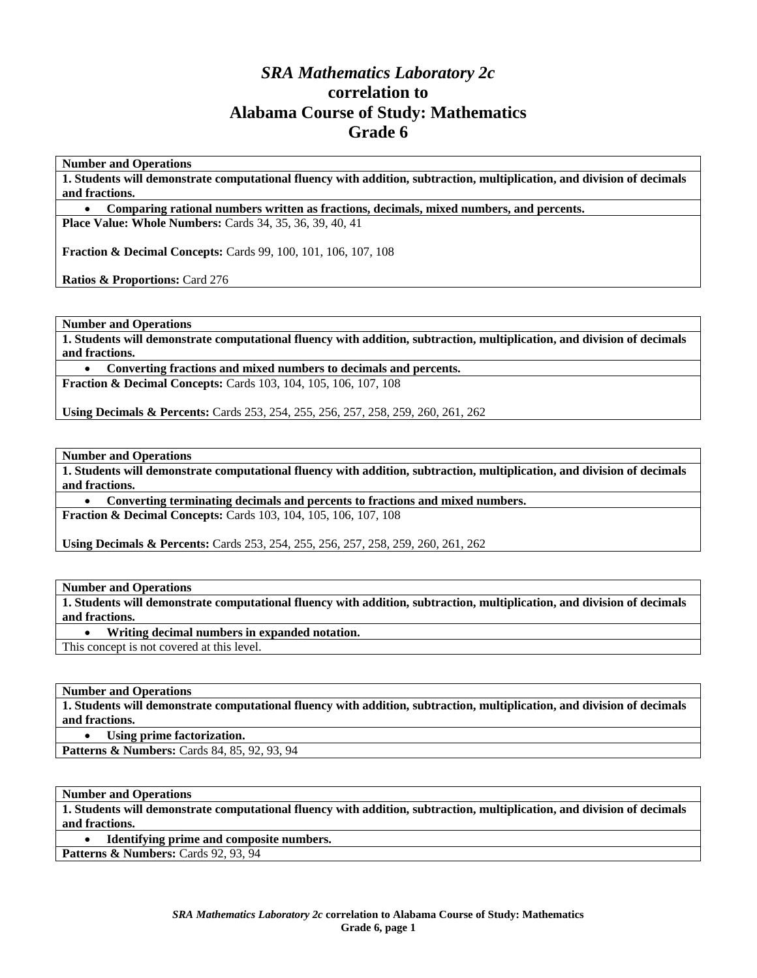# *SRA Mathematics Laboratory 2c*  **correlation to Alabama Course of Study: Mathematics Grade 6**

**Number and Operations** 

**1. Students will demonstrate computational fluency with addition, subtraction, multiplication, and division of decimals and fractions.** 

• **Comparing rational numbers written as fractions, decimals, mixed numbers, and percents.** 

**Place Value: Whole Numbers:** Cards 34, 35, 36, 39, 40, 41

**Fraction & Decimal Concepts:** Cards 99, 100, 101, 106, 107, 108

**Ratios & Proportions:** Card 276

**Number and Operations** 

**1. Students will demonstrate computational fluency with addition, subtraction, multiplication, and division of decimals and fractions.** 

• **Converting fractions and mixed numbers to decimals and percents. Fraction & Decimal Concepts:** Cards 103, 104, 105, 106, 107, 108

**Using Decimals & Percents:** Cards 253, 254, 255, 256, 257, 258, 259, 260, 261, 262

**Number and Operations** 

**1. Students will demonstrate computational fluency with addition, subtraction, multiplication, and division of decimals and fractions.** 

• **Converting terminating decimals and percents to fractions and mixed numbers. Fraction & Decimal Concepts:** Cards 103, 104, 105, 106, 107, 108

**Using Decimals & Percents:** Cards 253, 254, 255, 256, 257, 258, 259, 260, 261, 262

**Number and Operations** 

**1. Students will demonstrate computational fluency with addition, subtraction, multiplication, and division of decimals and fractions.** 

• **Writing decimal numbers in expanded notation.** 

This concept is not covered at this level.

**Number and Operations** 

**1. Students will demonstrate computational fluency with addition, subtraction, multiplication, and division of decimals and fractions.** 

• **Using prime factorization.** 

**Patterns & Numbers:** Cards 84, 85, 92, 93, 94

**Number and Operations** 

**1. Students will demonstrate computational fluency with addition, subtraction, multiplication, and division of decimals and fractions.** 

• **Identifying prime and composite numbers.** 

**Patterns & Numbers: Cards 92, 93, 94**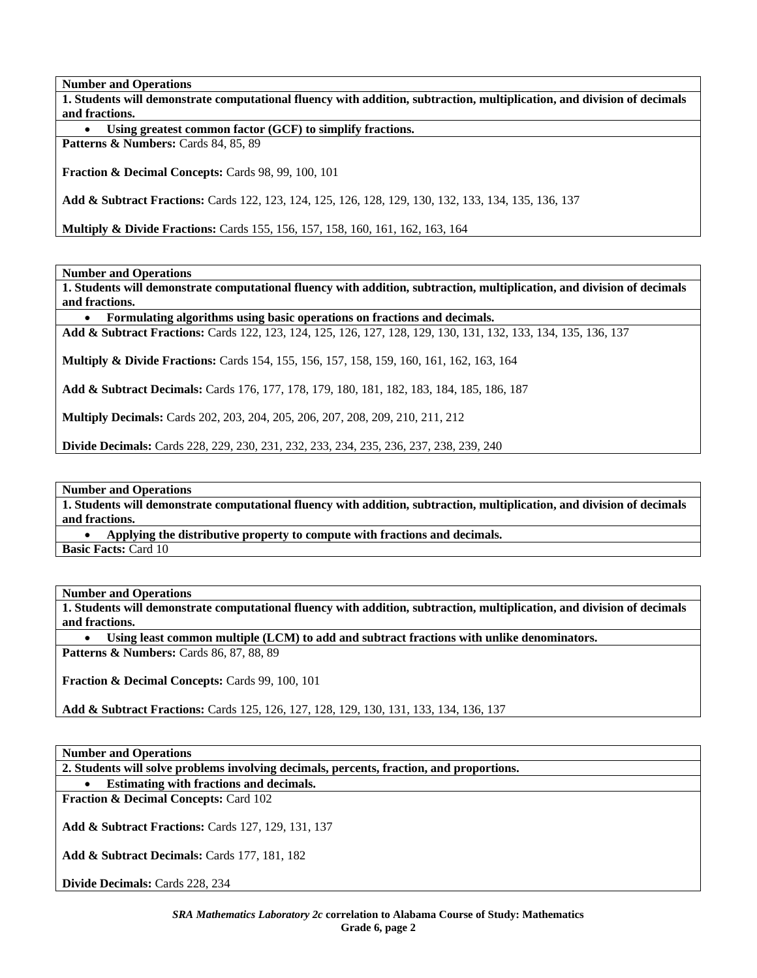**1. Students will demonstrate computational fluency with addition, subtraction, multiplication, and division of decimals and fractions.** 

• **Using greatest common factor (GCF) to simplify fractions.** 

**Patterns & Numbers:** Cards 84, 85, 89

**Fraction & Decimal Concepts:** Cards 98, 99, 100, 101

**Add & Subtract Fractions:** Cards 122, 123, 124, 125, 126, 128, 129, 130, 132, 133, 134, 135, 136, 137

**Multiply & Divide Fractions:** Cards 155, 156, 157, 158, 160, 161, 162, 163, 164

**Number and Operations** 

**1. Students will demonstrate computational fluency with addition, subtraction, multiplication, and division of decimals and fractions.** 

• **Formulating algorithms using basic operations on fractions and decimals.** 

**Add & Subtract Fractions:** Cards 122, 123, 124, 125, 126, 127, 128, 129, 130, 131, 132, 133, 134, 135, 136, 137

**Multiply & Divide Fractions:** Cards 154, 155, 156, 157, 158, 159, 160, 161, 162, 163, 164

**Add & Subtract Decimals:** Cards 176, 177, 178, 179, 180, 181, 182, 183, 184, 185, 186, 187

**Multiply Decimals:** Cards 202, 203, 204, 205, 206, 207, 208, 209, 210, 211, 212

**Divide Decimals:** Cards 228, 229, 230, 231, 232, 233, 234, 235, 236, 237, 238, 239, 240

**Number and Operations** 

**1. Students will demonstrate computational fluency with addition, subtraction, multiplication, and division of decimals and fractions.** 

• **Applying the distributive property to compute with fractions and decimals.** 

**Basic Facts:** Card 10

**Number and Operations** 

**1. Students will demonstrate computational fluency with addition, subtraction, multiplication, and division of decimals and fractions.** 

• **Using least common multiple (LCM) to add and subtract fractions with unlike denominators.** 

**Patterns & Numbers:** Cards 86, 87, 88, 89

**Fraction & Decimal Concepts:** Cards 99, 100, 101

**Add & Subtract Fractions:** Cards 125, 126, 127, 128, 129, 130, 131, 133, 134, 136, 137

**Number and Operations** 

**2. Students will solve problems involving decimals, percents, fraction, and proportions.** 

• **Estimating with fractions and decimals.** 

**Fraction & Decimal Concepts:** Card 102

**Add & Subtract Fractions:** Cards 127, 129, 131, 137

**Add & Subtract Decimals:** Cards 177, 181, 182

**Divide Decimals:** Cards 228, 234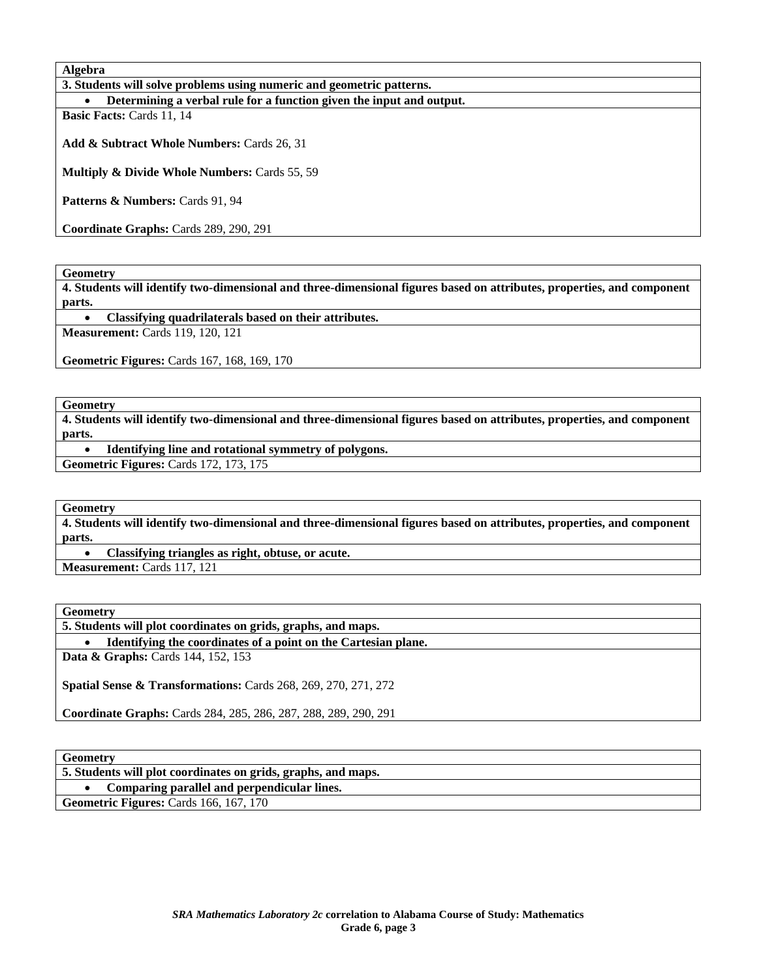**Algebra** 

| 3. Students will solve problems using numeric and geometric patterns. |  |  |  |
|-----------------------------------------------------------------------|--|--|--|
|-----------------------------------------------------------------------|--|--|--|

• **Determining a verbal rule for a function given the input and output.** 

**Basic Facts:** Cards 11, 14

**Add & Subtract Whole Numbers:** Cards 26, 31

**Multiply & Divide Whole Numbers:** Cards 55, 59

Patterns & Numbers: Cards 91, 94

**Coordinate Graphs:** Cards 289, 290, 291

**Geometry** 

**4. Students will identify two-dimensional and three-dimensional figures based on attributes, properties, and component parts.** 

• **Classifying quadrilaterals based on their attributes.** 

**Measurement:** Cards 119, 120, 121

**Geometric Figures:** Cards 167, 168, 169, 170

**Geometry** 

**4. Students will identify two-dimensional and three-dimensional figures based on attributes, properties, and component parts.** 

• **Identifying line and rotational symmetry of polygons.** 

**Geometric Figures:** Cards 172, 173, 175

**Geometry** 

**4. Students will identify two-dimensional and three-dimensional figures based on attributes, properties, and component parts.** 

• **Classifying triangles as right, obtuse, or acute.** 

**Measurement:** Cards 117, 121

**Geometry** 

**5. Students will plot coordinates on grids, graphs, and maps.** 

• **Identifying the coordinates of a point on the Cartesian plane.** 

**Data & Graphs:** Cards 144, 152, 153

**Spatial Sense & Transformations:** Cards 268, 269, 270, 271, 272

**Coordinate Graphs:** Cards 284, 285, 286, 287, 288, 289, 290, 291

**Geometry** 

| www.c                                                         |
|---------------------------------------------------------------|
| 5. Students will plot coordinates on grids, graphs, and maps. |
| Comparing parallel and perpendicular lines.                   |
| <b>Geometric Figures: Cards 166, 167, 170</b>                 |
|                                                               |